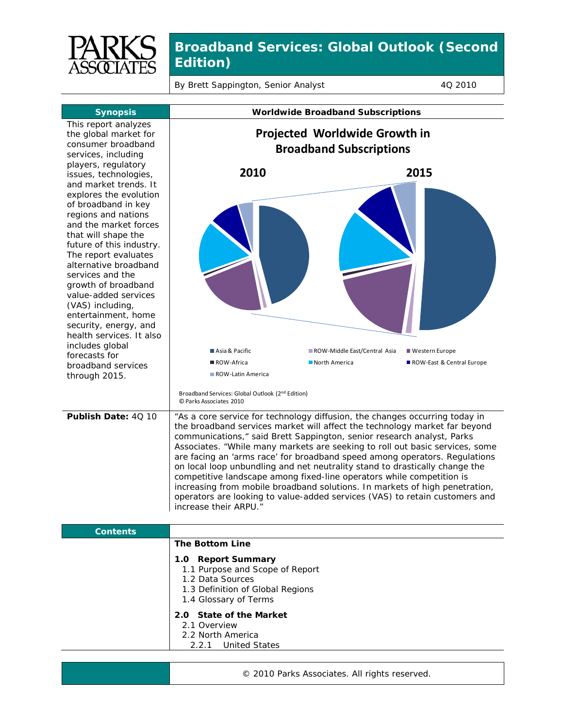

By Brett Sappington, Senior Analyst 4Q 2010

| <b>Synopsis</b>                                                                                                                                                                                                                                                                                                                                                                                                        |                                                                                                                                                                                                                                                                                                                                                                                                                                                                                                                                                                                                                                                                                                                                                   | <b>Worldwide Broadband Subscriptions</b> |                           |
|------------------------------------------------------------------------------------------------------------------------------------------------------------------------------------------------------------------------------------------------------------------------------------------------------------------------------------------------------------------------------------------------------------------------|---------------------------------------------------------------------------------------------------------------------------------------------------------------------------------------------------------------------------------------------------------------------------------------------------------------------------------------------------------------------------------------------------------------------------------------------------------------------------------------------------------------------------------------------------------------------------------------------------------------------------------------------------------------------------------------------------------------------------------------------------|------------------------------------------|---------------------------|
| This report analyzes<br>the global market for<br>consumer broadband<br>services, including<br>players, regulatory                                                                                                                                                                                                                                                                                                      | Projected Worldwide Growth in<br><b>Broadband Subscriptions</b>                                                                                                                                                                                                                                                                                                                                                                                                                                                                                                                                                                                                                                                                                   |                                          |                           |
| issues, technologies,<br>and market trends. It<br>explores the evolution<br>of broadband in key<br>regions and nations<br>and the market forces<br>that will shape the<br>future of this industry.<br>The report evaluates<br>alternative broadband<br>services and the<br>growth of broadband<br>value-added services<br>(VAS) including,<br>entertainment, home<br>security, energy, and<br>health services. It also | 2010                                                                                                                                                                                                                                                                                                                                                                                                                                                                                                                                                                                                                                                                                                                                              |                                          | 2015                      |
| includes global<br>forecasts for                                                                                                                                                                                                                                                                                                                                                                                       | Asia & Pacific                                                                                                                                                                                                                                                                                                                                                                                                                                                                                                                                                                                                                                                                                                                                    | ROW-Middle East/Central Asia             | ■ Western Europe          |
| broadband services<br>through 2015.                                                                                                                                                                                                                                                                                                                                                                                    | ROW-Africa<br>ROW-Latin America<br>Broadband Services: Global Outlook (2 <sup>nd</sup> Edition)<br>© Parks Associates 2010                                                                                                                                                                                                                                                                                                                                                                                                                                                                                                                                                                                                                        | North America                            | ROW-East & Central Europe |
| Publish Date: 40 10                                                                                                                                                                                                                                                                                                                                                                                                    | "As a core service for technology diffusion, the changes occurring today in<br>the broadband services market will affect the technology market far beyond<br>communications, " said Brett Sappington, senior research analyst, Parks<br>Associates. "While many markets are seeking to roll out basic services, some<br>are facing an 'arms race' for broadband speed among operators. Regulations<br>on local loop unbundling and net neutrality stand to drastically change the<br>competitive landscape among fixed-line operators while competition is<br>increasing from mobile broadband solutions. In markets of high penetration,<br>operators are looking to value-added services (VAS) to retain customers and<br>increase their ARPU." |                                          |                           |
| <b>Contents</b>                                                                                                                                                                                                                                                                                                                                                                                                        |                                                                                                                                                                                                                                                                                                                                                                                                                                                                                                                                                                                                                                                                                                                                                   |                                          |                           |
|                                                                                                                                                                                                                                                                                                                                                                                                                        | <b>The Bottom Line</b><br>1.0 Report Summary<br>1.1 Purpose and Scope of Report<br>1.2 Data Sources<br>1.3 Definition of Global Regions<br>1.4 Glossary of Terms<br>2.0 State of the Market<br>2.1 Overview<br>2.2 North America<br>2.2.1<br><b>United States</b>                                                                                                                                                                                                                                                                                                                                                                                                                                                                                 |                                          |                           |

© 2010 Parks Associates. All rights reserved.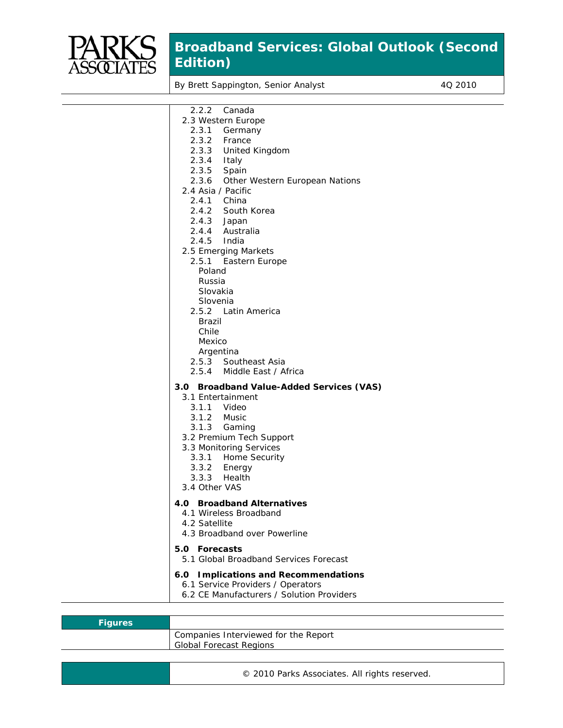

By Brett Sappington, Senior Analyst 4Q 2010

| 2.2.2<br>Canada                                      |
|------------------------------------------------------|
| 2.3 Western Europe                                   |
| 2.3.1<br>Germany                                     |
| 2.3.2<br>France                                      |
| 2.3.3<br>United Kingdom                              |
| 2.3.4<br>Italy<br>Spain                              |
| 2.3.5<br>2.3.6                                       |
| Other Western European Nations<br>2.4 Asia / Pacific |
| 2.4.1 China                                          |
| 2.4.2 South Korea                                    |
| 2.4.3<br>Japan                                       |
| 2.4.4<br>Australia                                   |
| 2.4.5<br>India                                       |
| 2.5 Emerging Markets                                 |
| 2.5.1 Eastern Europe                                 |
| Poland                                               |
| Russia                                               |
| Slovakia                                             |
| Slovenia                                             |
| 2.5.2 Latin America                                  |
| Brazil                                               |
| Chile                                                |
| Mexico                                               |
| Argentina                                            |
| 2.5.3 Southeast Asia                                 |
| 2.5.4 Middle East / Africa                           |
| 3.0 Broadband Value-Added Services (VAS)             |
| 3.1 Entertainment                                    |
| 3.1.1<br>Video                                       |
| 3.1.2<br>Music                                       |
| 3.1.3 Gaming                                         |
| 3.2 Premium Tech Support                             |
| 3.3 Monitoring Services                              |
| 3.3.1 Home Security                                  |
| 3.3.2 Energy                                         |
| 3.3.3<br>Health<br>3.4 Other VAS                     |
|                                                      |
| 4.0 Broadband Alternatives                           |
| 4.1 Wireless Broadband                               |
| 4.2 Satellite                                        |
| 4.3 Broadband over Powerline                         |
| 5.0 Forecasts                                        |
| 5.1 Global Broadband Services Forecast               |
|                                                      |
| 6.0 Implications and Recommendations                 |
| 6.1 Service Providers / Operators                    |
| 6.2 CE Manufacturers / Solution Providers            |
|                                                      |

| <b>Figures</b> |                                      |
|----------------|--------------------------------------|
|                | Companies Interviewed for the Report |
|                | <b>Global Forecast Regions</b>       |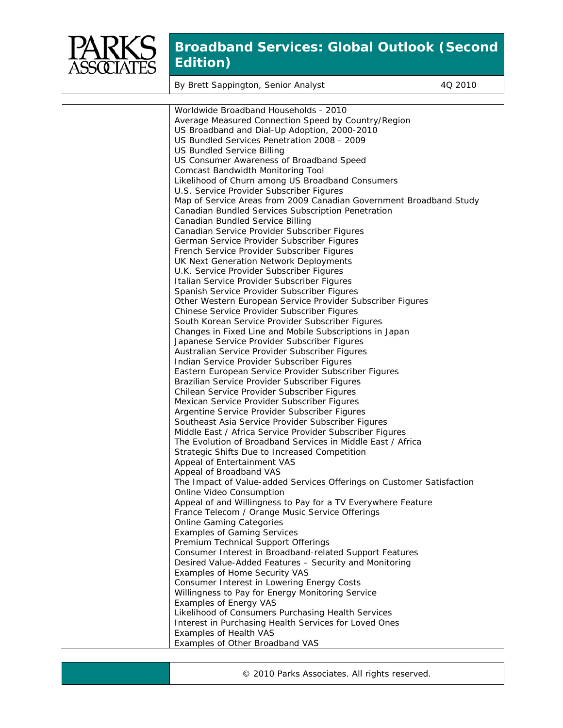

By Brett Sappington, Senior Analyst 4Q 2010

| Worldwide Broadband Households - 2010                                 |
|-----------------------------------------------------------------------|
| Average Measured Connection Speed by Country/Region                   |
| US Broadband and Dial-Up Adoption, 2000-2010                          |
| US Bundled Services Penetration 2008 - 2009                           |
| <b>US Bundled Service Billing</b>                                     |
| US Consumer Awareness of Broadband Speed                              |
| Comcast Bandwidth Monitoring Tool                                     |
| Likelihood of Churn among US Broadband Consumers                      |
| U.S. Service Provider Subscriber Figures                              |
| Map of Service Areas from 2009 Canadian Government Broadband Study    |
| Canadian Bundled Services Subscription Penetration                    |
| Canadian Bundled Service Billing                                      |
| Canadian Service Provider Subscriber Figures                          |
| German Service Provider Subscriber Figures                            |
| French Service Provider Subscriber Figures                            |
| UK Next Generation Network Deployments                                |
| U.K. Service Provider Subscriber Figures                              |
| Italian Service Provider Subscriber Figures                           |
| Spanish Service Provider Subscriber Figures                           |
| Other Western European Service Provider Subscriber Figures            |
| Chinese Service Provider Subscriber Figures                           |
| South Korean Service Provider Subscriber Figures                      |
| Changes in Fixed Line and Mobile Subscriptions in Japan               |
| Japanese Service Provider Subscriber Figures                          |
| Australian Service Provider Subscriber Figures                        |
| Indian Service Provider Subscriber Figures                            |
| Eastern European Service Provider Subscriber Figures                  |
| Brazilian Service Provider Subscriber Figures                         |
| Chilean Service Provider Subscriber Figures                           |
| Mexican Service Provider Subscriber Figures                           |
| Argentine Service Provider Subscriber Figures                         |
| Southeast Asia Service Provider Subscriber Figures                    |
| Middle East / Africa Service Provider Subscriber Figures              |
| The Evolution of Broadband Services in Middle East / Africa           |
| Strategic Shifts Due to Increased Competition                         |
| Appeal of Entertainment VAS                                           |
| Appeal of Broadband VAS                                               |
| The Impact of Value-added Services Offerings on Customer Satisfaction |
| Online Video Consumption                                              |
| Appeal of and Willingness to Pay for a TV Everywhere Feature          |
| France Telecom / Orange Music Service Offerings                       |
| <b>Online Gaming Categories</b>                                       |
| <b>Examples of Gaming Services</b>                                    |
| Premium Technical Support Offerings                                   |
| Consumer Interest in Broadband-related Support Features               |
| Desired Value-Added Features - Security and Monitoring                |
| Examples of Home Security VAS                                         |
| Consumer Interest in Lowering Energy Costs                            |
| Willingness to Pay for Energy Monitoring Service                      |
| <b>Examples of Energy VAS</b>                                         |
| Likelihood of Consumers Purchasing Health Services                    |
| Interest in Purchasing Health Services for Loved Ones                 |
| Examples of Health VAS                                                |
|                                                                       |
| Examples of Other Broadband VAS                                       |